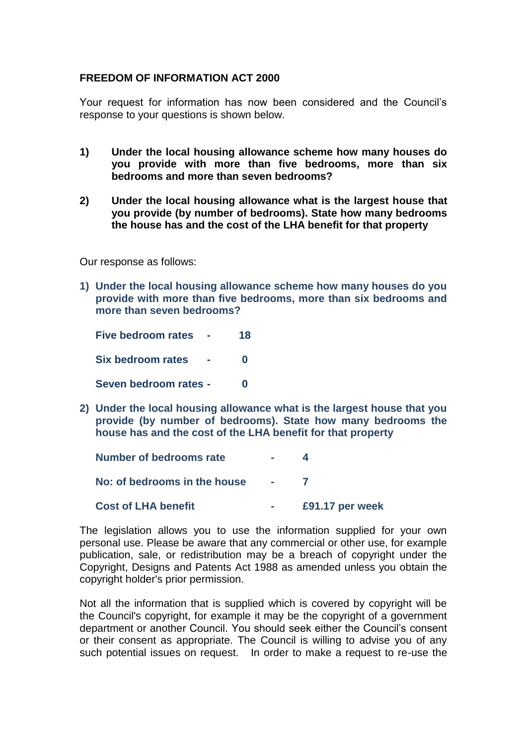## **FREEDOM OF INFORMATION ACT 2000**

Your request for information has now been considered and the Council's response to your questions is shown below.

- **1) Under the local housing allowance scheme how many houses do you provide with more than five bedrooms, more than six bedrooms and more than seven bedrooms?**
- **2) Under the local housing allowance what is the largest house that you provide (by number of bedrooms). State how many bedrooms the house has and the cost of the LHA benefit for that property**

Our response as follows:

**1) Under the local housing allowance scheme how many houses do you provide with more than five bedrooms, more than six bedrooms and more than seven bedrooms?**

**Five bedroom rates - 18 Six bedroom rates - 0 Seven bedroom rates - 0**

**2) Under the local housing allowance what is the largest house that you provide (by number of bedrooms). State how many bedrooms the house has and the cost of the LHA benefit for that property**

| <b>Number of bedrooms rate</b> | e.               |                 |
|--------------------------------|------------------|-----------------|
| No: of bedrooms in the house   | $\sim$ 100 $\mu$ |                 |
| <b>Cost of LHA benefit</b>     |                  | £91.17 per week |

The legislation allows you to use the information supplied for your own personal use. Please be aware that any commercial or other use, for example publication, sale, or redistribution may be a breach of copyright under the Copyright, Designs and Patents Act 1988 as amended unless you obtain the copyright holder's prior permission.

Not all the information that is supplied which is covered by copyright will be the Council's copyright, for example it may be the copyright of a government department or another Council. You should seek either the Council's consent or their consent as appropriate. The Council is willing to advise you of any such potential issues on request. In order to make a request to re-use the